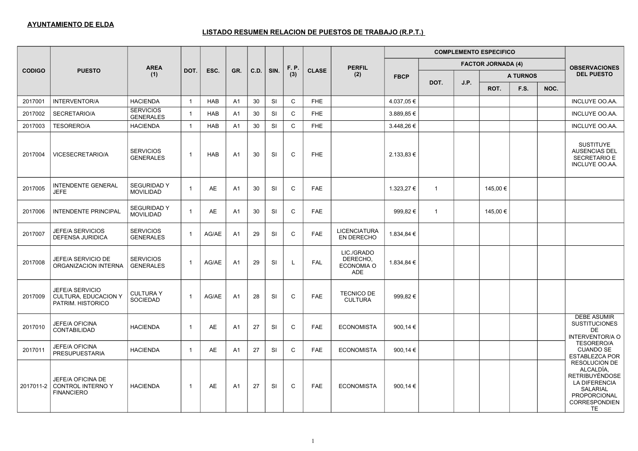|               |                                                              |                                        |                |            |                |        |           |              |              |                                                    |                |                |      | <b>COMPLEMENTO ESPECIFICO</b> |                 |      |                                                                                                                                                     |
|---------------|--------------------------------------------------------------|----------------------------------------|----------------|------------|----------------|--------|-----------|--------------|--------------|----------------------------------------------------|----------------|----------------|------|-------------------------------|-----------------|------|-----------------------------------------------------------------------------------------------------------------------------------------------------|
|               |                                                              | <b>AREA</b>                            |                |            |                |        |           | F. P.        |              | <b>PERFIL</b>                                      |                |                |      | <b>FACTOR JORNADA (4)</b>     |                 |      | <b>OBSERVACIONES</b>                                                                                                                                |
| <b>CODIGO</b> | <b>PUESTO</b>                                                | (1)                                    | DOT.           | ESC.       | GR.            | C.D.   | SIN.      | (3)          | <b>CLASE</b> | (2)                                                | <b>FBCP</b>    |                |      |                               | <b>A TURNOS</b> |      | <b>DEL PUESTO</b>                                                                                                                                   |
|               |                                                              |                                        |                |            |                |        |           |              |              |                                                    |                | DOT.           | J.P. | ROT.                          | F.S.            | NOC. |                                                                                                                                                     |
| 2017001       | <b>INTERVENTOR/A</b>                                         | <b>HACIENDA</b>                        | $\overline{1}$ | <b>HAB</b> | A <sub>1</sub> | $30\,$ | <b>SI</b> | C            | <b>FHE</b>   |                                                    | 4.037,05 €     |                |      |                               |                 |      | INCLUYE OO.AA.                                                                                                                                      |
| 2017002       | SECRETARIO/A                                                 | <b>SERVICIOS</b><br><b>GENERALES</b>   | $\overline{1}$ | <b>HAB</b> | A <sub>1</sub> | 30     | <b>SI</b> | $\mathsf{C}$ | FHE          |                                                    | 3.889,85 €     |                |      |                               |                 |      | INCLUYE OO.AA.                                                                                                                                      |
| 2017003       | <b>TESORERO/A</b>                                            | <b>HACIENDA</b>                        | $\overline{1}$ | <b>HAB</b> | A <sub>1</sub> | 30     | SI        | $\mathsf C$  | <b>FHE</b>   |                                                    | 3.448,26€      |                |      |                               |                 |      | INCLUYE OO.AA.                                                                                                                                      |
| 2017004       | <b>VICESECRETARIO/A</b>                                      | <b>SERVICIOS</b><br><b>GENERALES</b>   | $\overline{1}$ | <b>HAB</b> | A <sub>1</sub> | 30     | <b>SI</b> | C            | <b>FHE</b>   |                                                    | $2.133.83 \in$ |                |      |                               |                 |      | <b>SUSTITUYE</b><br><b>AUSENCIAS DEL</b><br><b>SECRETARIO E</b><br>INCLUYE OO.AA.                                                                   |
| 2017005       | <b>INTENDENTE GENERAL</b><br><b>JEFE</b>                     | <b>SEGURIDAD Y</b><br><b>MOVILIDAD</b> | $\overline{1}$ | AE         | A1             | 30     | SI        | C            | <b>FAE</b>   |                                                    | 1.323,27 €     | $\overline{1}$ |      | 145,00 €                      |                 |      |                                                                                                                                                     |
| 2017006       | <b>INTENDENTE PRINCIPAL</b>                                  | <b>SEGURIDAD Y</b><br><b>MOVILIDAD</b> | $\overline{1}$ | AE         | A <sub>1</sub> | 30     | <b>SI</b> | $\mathsf{C}$ | <b>FAE</b>   |                                                    | 999,82€        | $\overline{1}$ |      | 145,00 €                      |                 |      |                                                                                                                                                     |
| 2017007       | <b>JEFE/A SERVICIOS</b><br><b>DEFENSA JURIDICA</b>           | <b>SERVICIOS</b><br><b>GENERALES</b>   | $\overline{1}$ | AG/AE      | A <sub>1</sub> | 29     | <b>SI</b> | C            | <b>FAE</b>   | <b>LICENCIATURA</b><br>EN DERECHO                  | 1.834,84 €     |                |      |                               |                 |      |                                                                                                                                                     |
| 2017008       | JEFE/A SERVICIO DE<br>ORGANIZACION INTERNA                   | <b>SERVICIOS</b><br><b>GENERALES</b>   | $\overline{1}$ | AG/AE      | A <sub>1</sub> | 29     | <b>SI</b> | L            | FAL          | LIC./GRADO<br>DERECHO,<br>ECONOMIA O<br><b>ADE</b> | 1.834,84 €     |                |      |                               |                 |      |                                                                                                                                                     |
| 2017009       | JEFE/A SERVICIO<br>CULTURA, EDUCACION Y<br>PATRIM. HISTORICO | <b>CULTURAY</b><br><b>SOCIEDAD</b>     | $\overline{1}$ | AG/AE      | A1             | 28     | SI        | C            | <b>FAE</b>   | <b>TECNICO DE</b><br><b>CULTURA</b>                | 999,82€        |                |      |                               |                 |      |                                                                                                                                                     |
| 2017010       | JEFE/A OFICINA<br><b>CONTABILIDAD</b>                        | <b>HACIENDA</b>                        | $\overline{1}$ | AE         | A1             | 27     | <b>SI</b> | C            | <b>FAE</b>   | <b>ECONOMISTA</b>                                  | 900,14 $\in$   |                |      |                               |                 |      | <b>DEBE ASUMIR</b><br><b>SUSTITUCIONES</b><br>DE<br><b>INTERVENTOR/A O</b>                                                                          |
| 2017011       | <b>JEFE/A OFICINA</b><br><b>PRESUPUESTARIA</b>               | <b>HACIENDA</b>                        | $\overline{1}$ | AE         | A1             | 27     | <b>SI</b> | C            | <b>FAE</b>   | <b>ECONOMISTA</b>                                  | 900,14 $\in$   |                |      |                               |                 |      | TESORERO/A<br><b>CUANDO SE</b><br><b>ESTABLEZCA POR</b>                                                                                             |
| 2017011-2     | JEFE/A OFICINA DE<br>CONTROL INTERNO Y<br><b>FINANCIERO</b>  | <b>HACIENDA</b>                        | $\overline{1}$ | AE         | A1             | 27     | <b>SI</b> | $\mathsf{C}$ | <b>FAE</b>   | <b>ECONOMISTA</b>                                  | 900,14 €       |                |      |                               |                 |      | <b>RESOLUCION DE</b><br>ALCALDÍA,<br><b>RETRIBUYÉNDOSE</b><br><b>LA DIFERENCIA</b><br><b>SALARIAL</b><br>PROPORCIONAL<br><b>CORRESPONDIEN</b><br>TE |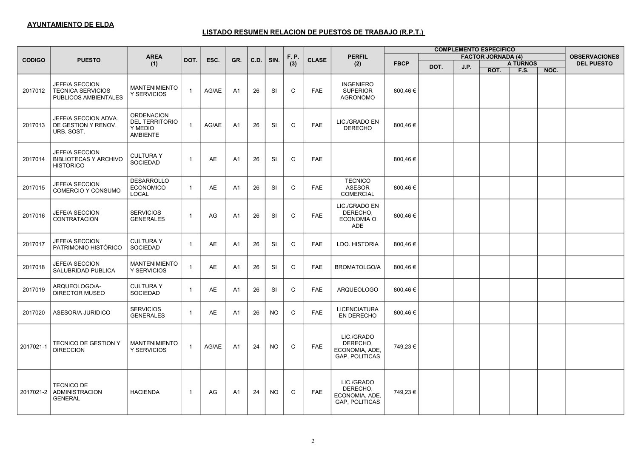|               |                                                                           |                                                                          |                |       |                |      |           |              |              |                                                                   |             |      |      | <b>COMPLEMENTO ESPECIFICO</b> |                 |      |                      |
|---------------|---------------------------------------------------------------------------|--------------------------------------------------------------------------|----------------|-------|----------------|------|-----------|--------------|--------------|-------------------------------------------------------------------|-------------|------|------|-------------------------------|-----------------|------|----------------------|
| <b>CODIGO</b> | <b>PUESTO</b>                                                             | <b>AREA</b>                                                              | DOT.           | ESC.  | GR.            | C.D. | SIN.      | F. P.        | <b>CLASE</b> | <b>PERFIL</b>                                                     |             |      |      | <b>FACTOR JORNADA (4)</b>     |                 |      | <b>OBSERVACIONES</b> |
|               |                                                                           | (1)                                                                      |                |       |                |      |           | (3)          |              | (2)                                                               | <b>FBCP</b> | DOT. | J.P. |                               | <b>A TURNOS</b> |      | <b>DEL PUESTO</b>    |
|               |                                                                           |                                                                          |                |       |                |      |           |              |              |                                                                   |             |      |      | ROT.                          | F.S.            | NOC. |                      |
| 2017012       | JEFE/A SECCION<br><b>TECNICA SERVICIOS</b><br><b>PUBLICOS AMBIENTALES</b> | <b>MANTENIMIENTO</b><br>Y SERVICIOS                                      | $\overline{1}$ | AG/AE | A <sub>1</sub> | 26   | <b>SI</b> | $\mathsf{C}$ | <b>FAE</b>   | <b>INGENIERO</b><br><b>SUPERIOR</b><br><b>AGRONOMO</b>            | 800,46€     |      |      |                               |                 |      |                      |
| 2017013       | JEFE/A SECCION ADVA.<br>DE GESTION Y RENOV.<br>URB. SOST.                 | <b>ORDENACION</b><br><b>DEL TERRITORIO</b><br>Y MEDIO<br><b>AMBIENTE</b> | $\overline{1}$ | AG/AE | A <sub>1</sub> | 26   | SI        | $\mathsf C$  | <b>FAE</b>   | LIC./GRADO EN<br><b>DERECHO</b>                                   | 800,46€     |      |      |                               |                 |      |                      |
| 2017014       | JEFE/A SECCION<br><b>BIBLIOTECAS Y ARCHIVO</b><br><b>HISTORICO</b>        | <b>CULTURAY</b><br><b>SOCIEDAD</b>                                       | $\overline{1}$ | AE    | A <sub>1</sub> | 26   | <b>SI</b> | C            | <b>FAE</b>   |                                                                   | 800,46€     |      |      |                               |                 |      |                      |
| 2017015       | JEFE/A SECCION<br>COMERCIO Y CONSUMO                                      | <b>DESARROLLO</b><br><b>ECONOMICO</b><br>LOCAL                           | $\overline{1}$ | AE    | A1             | 26   | SI        | C            | <b>FAE</b>   | <b>TECNICO</b><br><b>ASESOR</b><br>COMERCIAL                      | 800,46€     |      |      |                               |                 |      |                      |
| 2017016       | JEFE/A SECCION<br><b>CONTRATACION</b>                                     | <b>SERVICIOS</b><br><b>GENERALES</b>                                     | $\overline{1}$ | AG    | A <sub>1</sub> | 26   | SI        | $\mathsf C$  | <b>FAE</b>   | LIC./GRADO EN<br>DERECHO,<br>ECONOMIA O<br><b>ADE</b>             | 800,46€     |      |      |                               |                 |      |                      |
| 2017017       | JEFE/A SECCION<br>PATRIMONIO HISTÓRICO                                    | <b>CULTURAY</b><br><b>SOCIEDAD</b>                                       | $\overline{1}$ | AE    | A <sub>1</sub> | 26   | <b>SI</b> | C            | <b>FAE</b>   | LDO. HISTORIA                                                     | 800,46 €    |      |      |                               |                 |      |                      |
| 2017018       | JEFE/A SECCION<br>SALUBRIDAD PUBLICA                                      | <b>MANTENIMIENTO</b><br>Y SERVICIOS                                      | $\overline{1}$ | AE    | A <sub>1</sub> | 26   | <b>SI</b> | C            | <b>FAE</b>   | <b>BROMATOLGO/A</b>                                               | 800,46 €    |      |      |                               |                 |      |                      |
| 2017019       | ARQUEOLOGO/A-<br><b>DIRECTOR MUSEO</b>                                    | <b>CULTURAY</b><br><b>SOCIEDAD</b>                                       | $\overline{1}$ | AE    | A <sub>1</sub> | 26   | SI        | $\mathsf C$  | <b>FAE</b>   | <b>ARQUEOLOGO</b>                                                 | 800,46€     |      |      |                               |                 |      |                      |
| 2017020       | ASESOR/A JURIDICO                                                         | <b>SERVICIOS</b><br><b>GENERALES</b>                                     | $\overline{1}$ | AE    | A1             | 26   | <b>NO</b> | C            | <b>FAE</b>   | <b>LICENCIATURA</b><br>EN DERECHO                                 | 800,46 €    |      |      |                               |                 |      |                      |
| 2017021-1     | <b>TECNICO DE GESTION Y</b><br><b>DIRECCION</b>                           | <b>MANTENIMIENTO</b><br>Y SERVICIOS                                      | $\overline{1}$ | AG/AE | A <sub>1</sub> | 24   | <b>NO</b> | C            | <b>FAE</b>   | LIC./GRADO<br>DERECHO.<br>ECONOMIA, ADE,<br>GAP, POLITICAS        | 749,23€     |      |      |                               |                 |      |                      |
| 2017021-2     | <b>TECNICO DE</b><br><b>ADMINISTRACION</b><br><b>GENERAL</b>              | <b>HACIENDA</b>                                                          | $\overline{1}$ | AG    | A <sub>1</sub> | 24   | <b>NO</b> | C            | <b>FAE</b>   | LIC./GRADO<br>DERECHO,<br>ECONOMIA, ADE,<br><b>GAP, POLITICAS</b> | 749,23 €    |      |      |                               |                 |      |                      |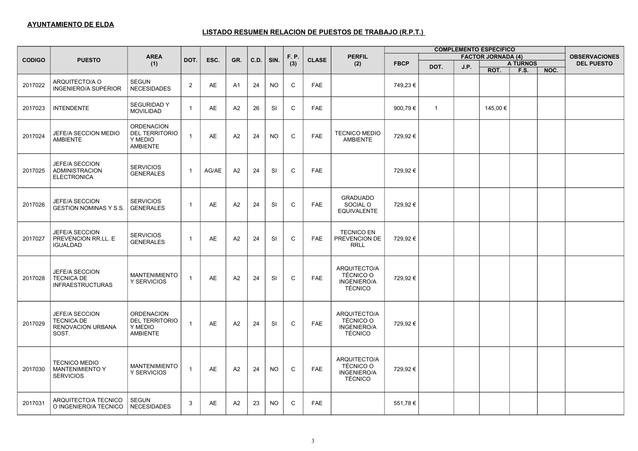| <b>COMPLEMENTO ESPECIFICO</b> |                                                                    |                                                                          |                |           |                |      |           |              |              |                                                                          |             |                |      |                           |                 |      |                      |
|-------------------------------|--------------------------------------------------------------------|--------------------------------------------------------------------------|----------------|-----------|----------------|------|-----------|--------------|--------------|--------------------------------------------------------------------------|-------------|----------------|------|---------------------------|-----------------|------|----------------------|
| <b>CODIGO</b>                 | <b>PUESTO</b>                                                      | <b>AREA</b>                                                              | DOT.           | ESC.      | GR.            | C.D. | SIN.      | F. P.        | <b>CLASE</b> | <b>PERFIL</b>                                                            |             |                |      | <b>FACTOR JORNADA (4)</b> |                 |      | <b>OBSERVACIONES</b> |
|                               |                                                                    | (1)                                                                      |                |           |                |      |           | (3)          |              | (2)                                                                      | <b>FBCP</b> | DOT.           | J.P. |                           | <b>A TURNOS</b> |      | <b>DEL PUESTO</b>    |
|                               |                                                                    |                                                                          |                |           |                |      |           |              |              |                                                                          |             |                |      | ROT.                      | <b>F.S.</b>     | NOC. |                      |
| 2017022                       | ARQUITECTO/A O<br><b>INGENIERO/A SUPERIOR</b>                      | SEGUN<br><b>NECESIDADES</b>                                              | 2              | AE        | A <sub>1</sub> | 24   | <b>NO</b> | $\mathtt{C}$ | <b>FAE</b>   |                                                                          | 749,23 €    |                |      |                           |                 |      |                      |
| 2017023                       | <b>INTENDENTE</b>                                                  | <b>SEGURIDAD Y</b><br><b>MOVILIDAD</b>                                   | $\overline{1}$ | AE        | A2             | 26   | SI        | $\mathsf C$  | <b>FAE</b>   |                                                                          | 900,79€     | $\overline{1}$ |      | 145,00 €                  |                 |      |                      |
| 2017024                       | JEFE/A SECCION MEDIO<br><b>AMBIENTE</b>                            | <b>ORDENACION</b><br><b>DEL TERRITORIO</b><br>Y MEDIO<br><b>AMBIENTE</b> | $\overline{1}$ | AE        | A2             | 24   | NO.       | C            | <b>FAE</b>   | <b>TECNICO MEDIO</b><br><b>AMBIENTE</b>                                  | 729,92€     |                |      |                           |                 |      |                      |
| 2017025                       | JEFE/A SECCION<br>ADMINISTRACION<br><b>ELECTRONICA</b>             | <b>SERVICIOS</b><br><b>GENERALES</b>                                     | $\overline{1}$ | AG/AE     | A <sub>2</sub> | 24   | <b>SI</b> | $\mathsf{C}$ | <b>FAE</b>   |                                                                          | 729,92€     |                |      |                           |                 |      |                      |
| 2017026                       | JEFE/A SECCION<br><b>GESTION NOMINAS Y S.S.</b>                    | <b>SERVICIOS</b><br><b>GENERALES</b>                                     | $\overline{1}$ | AE        | A2             | 24   | SI        | $\mathsf C$  | FAE          | <b>GRADUADO</b><br>SOCIAL O<br><b>EQUIVALENTE</b>                        | 729,92€     |                |      |                           |                 |      |                      |
| 2017027                       | JEFE/A SECCION<br>PREVENCION RR.LL. E<br><b>IGUALDAD</b>           | <b>SERVICIOS</b><br><b>GENERALES</b>                                     | $\overline{1}$ | AE        | A2             | 24   | SI        | $\mathsf C$  | <b>FAE</b>   | <b>TECNICO EN</b><br>PREVENCION DE<br><b>RRLL</b>                        | 729,92€     |                |      |                           |                 |      |                      |
| 2017028                       | JEFE/A SECCION<br><b>TECNICA DE</b><br><b>INFRAESTRUCTURAS</b>     | <b>MANTENIMIENTO</b><br>Y SERVICIOS                                      | $\overline{1}$ | <b>AE</b> | A <sub>2</sub> | 24   | <b>SI</b> | $\mathsf{C}$ | <b>FAE</b>   | ARQUITECTO/A<br><b>TÉCNICO O</b><br><b>INGENIERO/A</b><br><b>TÉCNICO</b> | 729,92€     |                |      |                           |                 |      |                      |
| 2017029                       | JEFE/A SECCION<br><b>TECNICA DE</b><br>RENOVACION URBANA<br>SOST.  | <b>ORDENACION</b><br><b>DEL TERRITORIO</b><br>Y MEDIO<br><b>AMBIENTE</b> | $\overline{1}$ | AE        | A2             | 24   | SI        | $\mathsf C$  | FAE          | ARQUITECTO/A<br><b>TÉCNICO O</b><br>INGENIERO/A<br><b>TÉCNICO</b>        | 729,92€     |                |      |                           |                 |      |                      |
| 2017030                       | <b>TECNICO MEDIO</b><br><b>MANTENIMIENTO Y</b><br><b>SERVICIOS</b> | <b>MANTENIMIENTO</b><br>Y SERVICIOS                                      | $\overline{1}$ | AE        | A2             | 24   | <b>NO</b> | $\mathsf{C}$ | <b>FAE</b>   | ARQUITECTO/A<br><b>TÉCNICO O</b><br><b>INGENIERO/A</b><br><b>TÉCNICO</b> | 729,92€     |                |      |                           |                 |      |                      |
| 2017031                       | ARQUITECTO/A TECNICO<br>O INGENIERO/A TECNICO                      | <b>SEGUN</b><br><b>NECESIDADES</b>                                       | 3              | AE        | A2             | 23   | <b>NO</b> | C            | <b>FAE</b>   |                                                                          | 551,78€     |                |      |                           |                 |      |                      |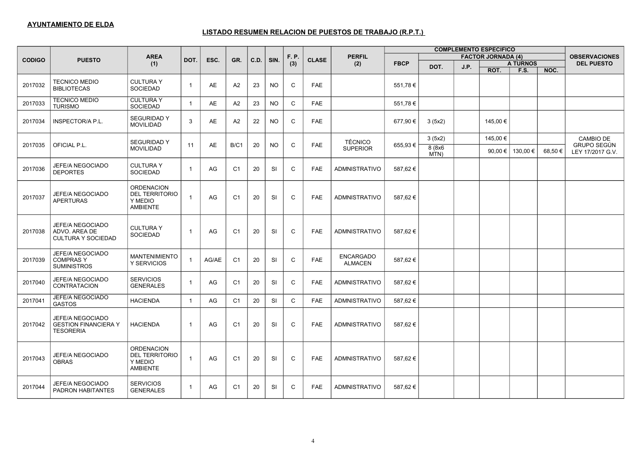| <b>COMPLEMENTO ESPECIFICO</b> |                                                                            |                                                                          |                         |       |                |      |           |              |              |                                    |             |                |      |                           |                 |        |                                 |
|-------------------------------|----------------------------------------------------------------------------|--------------------------------------------------------------------------|-------------------------|-------|----------------|------|-----------|--------------|--------------|------------------------------------|-------------|----------------|------|---------------------------|-----------------|--------|---------------------------------|
| <b>CODIGO</b>                 | <b>PUESTO</b>                                                              | <b>AREA</b>                                                              | DOT.                    | ESC.  | GR.            | C.D. | SIN.      | F. P.        | <b>CLASE</b> | <b>PERFIL</b>                      |             |                |      | <b>FACTOR JORNADA (4)</b> |                 |        | <b>OBSERVACIONES</b>            |
|                               |                                                                            | (1)                                                                      |                         |       |                |      |           | (3)          |              | (2)                                | <b>FBCP</b> | DOT.           | J.P. |                           | <b>A TURNOS</b> |        | <b>DEL PUESTO</b>               |
|                               |                                                                            |                                                                          |                         |       |                |      |           |              |              |                                    |             |                |      | ROT.                      | F.S.            | NOC.   |                                 |
| 2017032                       | <b>TECNICO MEDIO</b><br><b>BIBLIOTECAS</b>                                 | <b>CULTURA Y</b><br><b>SOCIEDAD</b>                                      | $\overline{1}$          | AE    | A2             | 23   | <b>NO</b> | C            | <b>FAE</b>   |                                    | 551,78€     |                |      |                           |                 |        |                                 |
| 2017033                       | <b>TECNICO MEDIO</b><br><b>TURISMO</b>                                     | <b>CULTURAY</b><br><b>SOCIEDAD</b>                                       | $\overline{1}$          | AE    | A2             | 23   | <b>NO</b> | $\mathsf{C}$ | <b>FAE</b>   |                                    | 551,78€     |                |      |                           |                 |        |                                 |
| 2017034                       | INSPECTOR/A P.L.                                                           | <b>SEGURIDAD Y</b><br><b>MOVILIDAD</b>                                   | 3                       | AE    | A2             | 22   | NO.       | $\mathsf{C}$ | <b>FAE</b>   |                                    | 677,90 €    | 3(5x2)         |      | 145,00 €                  |                 |        |                                 |
|                               |                                                                            | <b>SEGURIDAD Y</b>                                                       | 11                      | AE    | B/C1           | 20   | <b>NO</b> | C            | <b>FAE</b>   | <b>TÉCNICO</b>                     |             | 3(5x2)         |      | 145,00 €                  |                 |        | <b>CAMBIO DE</b><br>GRUPO SEGÚN |
| 2017035                       | OFICIAL P.L.                                                               | <b>MOVILIDAD</b>                                                         |                         |       |                |      |           |              |              | <b>SUPERIOR</b>                    | 655,93€     | 8(8x6)<br>MTN) |      | 90,00 €                   | 130,00 €        | 68,50€ | LEY 17/2017 G.V.                |
| 2017036                       | JEFE/A NEGOCIADO<br><b>DEPORTES</b>                                        | <b>CULTURAY</b><br><b>SOCIEDAD</b>                                       | $\overline{1}$          | AG    | C <sub>1</sub> | 20   | <b>SI</b> | $\mathsf{C}$ | <b>FAE</b>   | <b>ADMNISTRATIVO</b>               | 587.62€     |                |      |                           |                 |        |                                 |
| 2017037                       | JEFE/A NEGOCIADO<br><b>APERTURAS</b>                                       | <b>ORDENACION</b><br><b>DEL TERRITORIO</b><br>Y MEDIO<br><b>AMBIENTE</b> | $\overline{1}$          | AG    | C <sub>1</sub> | 20   | <b>SI</b> | C            | <b>FAE</b>   | <b>ADMNISTRATIVO</b>               | 587,62€     |                |      |                           |                 |        |                                 |
| 2017038                       | JEFE/A NEGOCIADO<br>ADVO. AREA DE<br><b>CULTURA Y SOCIEDAD</b>             | <b>CULTURAY</b><br><b>SOCIEDAD</b>                                       | $\overline{1}$          | AG    | C <sub>1</sub> | 20   | <b>SI</b> | C            | <b>FAE</b>   | <b>ADMNISTRATIVO</b>               | 587,62€     |                |      |                           |                 |        |                                 |
| 2017039                       | <b>JEFE/A NEGOCIADO</b><br><b>COMPRASY</b><br><b>SUMINISTROS</b>           | <b>MANTENIMIENTO</b><br>Y SERVICIOS                                      | $\overline{1}$          | AG/AE | C <sub>1</sub> | 20   | <b>SI</b> | C            | <b>FAE</b>   | <b>ENCARGADO</b><br><b>ALMACEN</b> | 587,62€     |                |      |                           |                 |        |                                 |
| 2017040                       | JEFE/A NEGOCIADO<br><b>CONTRATACION</b>                                    | <b>SERVICIOS</b><br><b>GENERALES</b>                                     | $\overline{1}$          | AG    | C <sub>1</sub> | 20   | <b>SI</b> | C            | <b>FAE</b>   | <b>ADMNISTRATIVO</b>               | 587,62€     |                |      |                           |                 |        |                                 |
| 2017041                       | JEFE/A NEGOCIADO<br><b>GASTOS</b>                                          | <b>HACIENDA</b>                                                          | $\overline{1}$          | AG    | C <sub>1</sub> | 20   | SI        | $\mathsf C$  | <b>FAE</b>   | <b>ADMNISTRATIVO</b>               | 587,62€     |                |      |                           |                 |        |                                 |
| 2017042                       | <b>JEFE/A NEGOCIADO</b><br><b>GESTION FINANCIERA Y</b><br><b>TESORERIA</b> | <b>HACIENDA</b>                                                          | $\overline{1}$          | AG    | C <sub>1</sub> | 20   | <b>SI</b> | C            | <b>FAE</b>   | <b>ADMNISTRATIVO</b>               | 587,62€     |                |      |                           |                 |        |                                 |
| 2017043                       | <b>JEFE/A NEGOCIADO</b><br><b>OBRAS</b>                                    | <b>ORDENACION</b><br><b>DEL TERRITORIO</b><br>Y MEDIO<br>AMBIENTE        | $\overline{1}$          | AG    | C <sub>1</sub> | 20   | SI        | C            | <b>FAE</b>   | <b>ADMNISTRATIVO</b>               | 587,62€     |                |      |                           |                 |        |                                 |
| 2017044                       | JEFE/A NEGOCIADO<br>PADRON HABITANTES                                      | <b>SERVICIOS</b><br><b>GENERALES</b>                                     | $\overline{\mathbf{1}}$ | AG    | C <sub>1</sub> | 20   | SI        | C            | <b>FAE</b>   | <b>ADMNISTRATIVO</b>               | 587,62€     |                |      |                           |                 |        |                                 |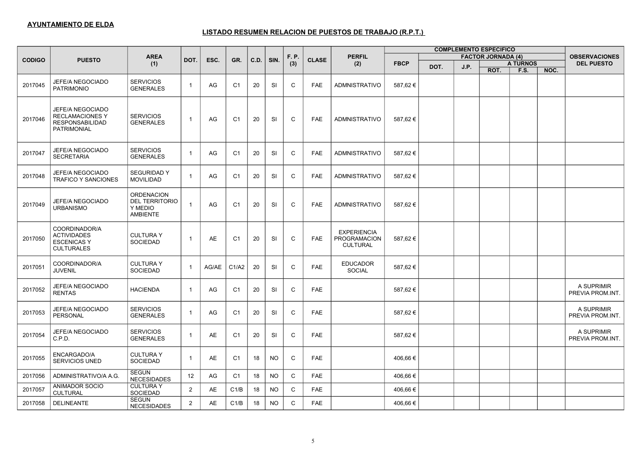|               |                                                                                     |                                                                          |                |       |                |      |           |              |              |                                                       |             |      |      | <b>COMPLEMENTO ESPECIFICO</b> |                 |      |                                |
|---------------|-------------------------------------------------------------------------------------|--------------------------------------------------------------------------|----------------|-------|----------------|------|-----------|--------------|--------------|-------------------------------------------------------|-------------|------|------|-------------------------------|-----------------|------|--------------------------------|
| <b>CODIGO</b> | <b>PUESTO</b>                                                                       | <b>AREA</b>                                                              | DOT.           | ESC.  | GR.            | C.D. | SIN.      | F. P.        | <b>CLASE</b> | <b>PERFIL</b>                                         |             |      |      | <b>FACTOR JORNADA (4)</b>     |                 |      | <b>OBSERVACIONES</b>           |
|               |                                                                                     | (1)                                                                      |                |       |                |      |           | (3)          |              | (2)                                                   | <b>FBCP</b> | DOT. | J.P. |                               | <b>A TURNOS</b> |      | <b>DEL PUESTO</b>              |
|               |                                                                                     |                                                                          |                |       |                |      |           |              |              |                                                       |             |      |      | ROT.                          | F.S.            | NOC. |                                |
| 2017045       | JEFE/A NEGOCIADO<br><b>PATRIMONIO</b>                                               | <b>SERVICIOS</b><br><b>GENERALES</b>                                     | $\mathbf{1}$   | AG    | C1             | 20   | <b>SI</b> | C            | <b>FAE</b>   | <b>ADMNISTRATIVO</b>                                  | 587,62€     |      |      |                               |                 |      |                                |
| 2017046       | JEFE/A NEGOCIADO<br><b>RECLAMACIONES Y</b><br><b>RESPONSABILIDAD</b><br>PATRIMONIAL | <b>SERVICIOS</b><br><b>GENERALES</b>                                     | $\overline{1}$ | AG    | C <sub>1</sub> | 20   | SI        | C            | <b>FAE</b>   | <b>ADMNISTRATIVO</b>                                  | 587,62€     |      |      |                               |                 |      |                                |
| 2017047       | JEFE/A NEGOCIADO<br><b>SECRETARIA</b>                                               | <b>SERVICIOS</b><br><b>GENERALES</b>                                     | $\overline{1}$ | AG    | C <sub>1</sub> | 20   | <b>SI</b> | $\mathsf C$  | <b>FAE</b>   | <b>ADMNISTRATIVO</b>                                  | 587,62€     |      |      |                               |                 |      |                                |
| 2017048       | <b>JEFE/A NEGOCIADO</b><br><b>TRAFICO Y SANCIONES</b>                               | <b>SEGURIDAD Y</b><br><b>MOVILIDAD</b>                                   | $\overline{1}$ | AG    | C <sub>1</sub> | 20   | SI        | C            | <b>FAE</b>   | <b>ADMNISTRATIVO</b>                                  | 587,62€     |      |      |                               |                 |      |                                |
| 2017049       | JEFE/A NEGOCIADO<br><b>URBANISMO</b>                                                | <b>ORDENACION</b><br><b>DEL TERRITORIO</b><br>Y MEDIO<br><b>AMBIENTE</b> | $\overline{1}$ | AG    | C <sub>1</sub> | 20   | <b>SI</b> | C            | <b>FAE</b>   | <b>ADMNISTRATIVO</b>                                  | 587,62€     |      |      |                               |                 |      |                                |
| 2017050       | COORDINADOR/A<br><b>ACTIVIDADES</b><br><b>ESCENICAS Y</b><br><b>CULTURALES</b>      | <b>CULTURA Y</b><br><b>SOCIEDAD</b>                                      | $\overline{1}$ | AE    | C <sub>1</sub> | 20   | <b>SI</b> | C            | <b>FAE</b>   | <b>EXPERIENCIA</b><br>PROGRAMACION<br><b>CULTURAL</b> | 587,62€     |      |      |                               |                 |      |                                |
| 2017051       | COORDINADOR/A<br><b>JUVENIL</b>                                                     | <b>CULTURA Y</b><br><b>SOCIEDAD</b>                                      | $\overline{1}$ | AG/AE | C1/A2          | 20   | <b>SI</b> | $\mathsf{C}$ | <b>FAE</b>   | <b>EDUCADOR</b><br><b>SOCIAL</b>                      | 587,62€     |      |      |                               |                 |      |                                |
| 2017052       | JEFE/A NEGOCIADO<br><b>RENTAS</b>                                                   | <b>HACIENDA</b>                                                          | $\overline{1}$ | AG    | C <sub>1</sub> | 20   | <b>SI</b> | $\mathsf{C}$ | <b>FAE</b>   |                                                       | 587,62€     |      |      |                               |                 |      | A SUPRIMIR<br>PREVIA PROM.INT. |
| 2017053       | JEFE/A NEGOCIADO<br><b>PERSONAL</b>                                                 | <b>SERVICIOS</b><br><b>GENERALES</b>                                     | $\overline{1}$ | AG    | C <sub>1</sub> | 20   | <b>SI</b> | C            | <b>FAE</b>   |                                                       | 587,62€     |      |      |                               |                 |      | A SUPRIMIR<br>PREVIA PROM.INT. |
| 2017054       | JEFE/A NEGOCIADO<br>C.P.D.                                                          | <b>SERVICIOS</b><br><b>GENERALES</b>                                     | $\overline{1}$ | AE    | C <sub>1</sub> | 20   | <b>SI</b> | C            | <b>FAE</b>   |                                                       | 587,62€     |      |      |                               |                 |      | A SUPRIMIR<br>PREVIA PROM.INT. |
| 2017055       | ENCARGADO/A<br>SERVICIOS UNED                                                       | <b>CULTURAY</b><br>SOCIEDAD                                              | $\overline{1}$ | AE    | C1             | 18   | <b>NO</b> | C            | <b>FAE</b>   |                                                       | 406,66€     |      |      |                               |                 |      |                                |
| 2017056       | ADMINISTRATIVO/A A.G.                                                               | <b>SEGUN</b><br><b>NECESIDADES</b>                                       | 12             | AG    | C <sub>1</sub> | 18   | <b>NO</b> | $\mathsf C$  | <b>FAE</b>   |                                                       | 406,66€     |      |      |                               |                 |      |                                |
| 2017057       | <b>ANIMADOR SOCIO</b><br><b>CULTURAL</b>                                            | <b>CULTURAY</b><br>SOCIEDAD                                              | 2              | AE    | C1/B           | 18   | <b>NO</b> | $\mathsf{C}$ | <b>FAE</b>   |                                                       | 406,66 €    |      |      |                               |                 |      |                                |
| 2017058       | <b>DELINEANTE</b>                                                                   | <b>SEGUN</b><br>NECESIDADES                                              | $\overline{2}$ | AE    | C1/B           | 18   | <b>NO</b> | C            | <b>FAE</b>   |                                                       | 406,66€     |      |      |                               |                 |      |                                |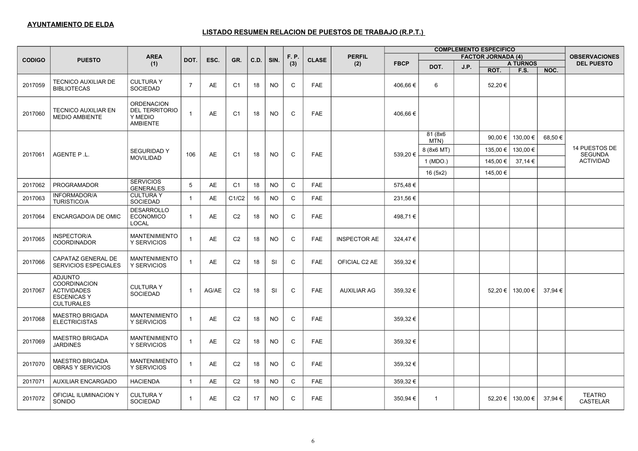|               | <b>COMPLEMENTO ESPECIFICO</b>                                                                          |                                                                          |                         |           |                |      |           |              |              |                     |             |                 |      |                           |                 |         |                                  |
|---------------|--------------------------------------------------------------------------------------------------------|--------------------------------------------------------------------------|-------------------------|-----------|----------------|------|-----------|--------------|--------------|---------------------|-------------|-----------------|------|---------------------------|-----------------|---------|----------------------------------|
| <b>CODIGO</b> | <b>PUESTO</b>                                                                                          | <b>AREA</b>                                                              | DOT.                    | ESC.      | GR.            | C.D. | SIN.      | F. P.        | <b>CLASE</b> | <b>PERFIL</b>       |             |                 |      | <b>FACTOR JORNADA (4)</b> |                 |         | <b>OBSERVACIONES</b>             |
|               |                                                                                                        | (1)                                                                      |                         |           |                |      |           | (3)          |              | (2)                 | <b>FBCP</b> | DOT.            | J.P. |                           | <b>A TURNOS</b> |         | <b>DEL PUESTO</b>                |
|               |                                                                                                        |                                                                          |                         |           |                |      |           |              |              |                     |             |                 |      | ROT.                      | F.S.            | NOC.    |                                  |
| 2017059       | <b>TECNICO AUXILIAR DE</b><br><b>BIBLIOTECAS</b>                                                       | <b>CULTURAY</b><br><b>SOCIEDAD</b>                                       | $\overline{7}$          | AE        | C <sub>1</sub> | 18   | <b>NO</b> | C            | <b>FAE</b>   |                     | 406,66 €    | 6               |      | 52,20€                    |                 |         |                                  |
| 2017060       | <b>TECNICO AUXILIAR EN</b><br><b>MEDIO AMBIENTE</b>                                                    | <b>ORDENACION</b><br><b>DEL TERRITORIO</b><br>Y MEDIO<br><b>AMBIENTE</b> | $\overline{1}$          | AE        | C <sub>1</sub> | 18   | <b>NO</b> | $\mathsf C$  | <b>FAE</b>   |                     | 406,66 €    |                 |      |                           |                 |         |                                  |
|               |                                                                                                        |                                                                          |                         |           |                |      |           |              |              |                     |             | 81 (8x6<br>MTN) |      | 90.00 €                   | 130,00€         | 68,50€  |                                  |
| 2017061       | AGENTE P.L.                                                                                            | <b>SEGURIDAD Y</b>                                                       | 106                     | AE        | C <sub>1</sub> | 18   | <b>NO</b> | C            | <b>FAE</b>   |                     | 539,20€     | 8 (8x6 MT)      |      | 135,00 €                  | 130,00 €        |         | 14 PUESTOS DE<br><b>SEGUNDA</b>  |
|               |                                                                                                        | <b>MOVILIDAD</b>                                                         |                         |           |                |      |           |              |              |                     |             | 1 (MDO.)        |      | 145.00 €                  | 37.14 €         |         | <b>ACTIVIDAD</b>                 |
|               |                                                                                                        |                                                                          |                         |           |                |      |           |              |              |                     |             | 16(5x2)         |      | 145,00 €                  |                 |         |                                  |
| 2017062       | <b>PROGRAMADOR</b>                                                                                     | <b>SERVICIOS</b><br><b>GENERALES</b>                                     | 5                       | AE        | C <sub>1</sub> | 18   | <b>NO</b> | $\mathsf C$  | <b>FAE</b>   |                     | 575,48€     |                 |      |                           |                 |         |                                  |
| 2017063       | <b>INFORMADOR/A</b><br><b>TURISTICO/A</b>                                                              | <b>CULTURAY</b><br>SOCIEDAD                                              | $\overline{1}$          | AE        | C1/C2          | 16   | <b>NO</b> | $\mathsf{C}$ | <b>FAE</b>   |                     | 231,56 €    |                 |      |                           |                 |         |                                  |
| 2017064       | ENCARGADO/A DE OMIC                                                                                    | <b>DESARROLLO</b><br><b>ECONOMICO</b><br>LOCAL                           | $\overline{1}$          | AE        | C <sub>2</sub> | 18   | <b>NO</b> | $\mathsf{C}$ | <b>FAE</b>   |                     | 498,71€     |                 |      |                           |                 |         |                                  |
| 2017065       | INSPECTOR/A<br><b>COORDINADOR</b>                                                                      | <b>MANTENIMIENTO</b><br>Y SERVICIOS                                      | $\overline{\mathbf{1}}$ | <b>AE</b> | C <sub>2</sub> | 18   | <b>NO</b> | $\mathsf{C}$ | <b>FAE</b>   | <b>INSPECTOR AE</b> | 324,47€     |                 |      |                           |                 |         |                                  |
| 2017066       | CAPATAZ GENERAL DE<br><b>SERVICIOS ESPECIALES</b>                                                      | <b>MANTENIMIENTO</b><br>Y SERVICIOS                                      | $\overline{1}$          | AE        | C <sub>2</sub> | 18   | <b>SI</b> | C            | <b>FAE</b>   | OFICIAL C2 AE       | 359,32€     |                 |      |                           |                 |         |                                  |
| 2017067       | <b>ADJUNTO</b><br><b>COORDINACION</b><br><b>ACTIVIDADES</b><br><b>ESCENICAS Y</b><br><b>CULTURALES</b> | <b>CULTURAY</b><br><b>SOCIEDAD</b>                                       | $\overline{1}$          | AG/AE     | C <sub>2</sub> | 18   | <b>SI</b> | $\mathsf{C}$ | <b>FAE</b>   | <b>AUXILIAR AG</b>  | 359,32€     |                 |      | 52,20 €                   | 130,00 €        | 37,94€  |                                  |
| 2017068       | <b>MAESTRO BRIGADA</b><br><b>ELECTRICISTAS</b>                                                         | <b>MANTENIMIENTO</b><br>Y SERVICIOS                                      | $\overline{1}$          | AE        | C <sub>2</sub> | 18   | <b>NO</b> | C            | <b>FAE</b>   |                     | 359,32€     |                 |      |                           |                 |         |                                  |
| 2017069       | <b>MAESTRO BRIGADA</b><br><b>JARDINES</b>                                                              | <b>MANTENIMIENTO</b><br>Y SERVICIOS                                      | $\overline{1}$          | AE        | C <sub>2</sub> | 18   | <b>NO</b> | C            | <b>FAE</b>   |                     | 359,32€     |                 |      |                           |                 |         |                                  |
| 2017070       | <b>MAESTRO BRIGADA</b><br><b>OBRAS Y SERVICIOS</b>                                                     | <b>MANTENIMIENTO</b><br>Y SERVICIOS                                      | $\overline{1}$          | AE        | C <sub>2</sub> | 18   | <b>NO</b> | C            | <b>FAE</b>   |                     | 359,32€     |                 |      |                           |                 |         |                                  |
| 2017071       | <b>AUXILIAR ENCARGADO</b>                                                                              | <b>HACIENDA</b>                                                          | $\overline{1}$          | AE        | C <sub>2</sub> | 18   | <b>NO</b> | $\mathsf C$  | <b>FAE</b>   |                     | 359,32€     |                 |      |                           |                 |         |                                  |
| 2017072       | OFICIAL ILUMINACION Y<br>SONIDO                                                                        | <b>CULTURAY</b><br>SOCIEDAD                                              | $\overline{1}$          | AE        | C <sub>2</sub> | 17   | NO.       | C            | <b>FAE</b>   |                     | 350,94 €    | $\overline{1}$  |      | 52,20 €                   | 130,00 €        | 37,94 € | <b>TEATRO</b><br><b>CASTELAR</b> |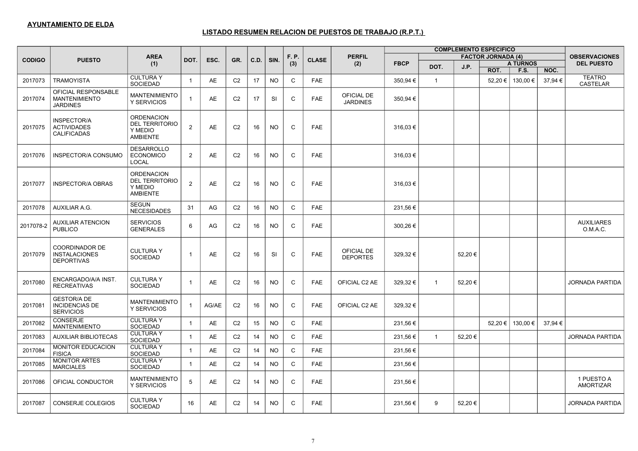|               |                                                                    |                                                                          |                |           |                |      |           |              |              |                               |             |                |        | <b>COMPLEMENTO ESPECIFICO</b> |                 |         |                                  |
|---------------|--------------------------------------------------------------------|--------------------------------------------------------------------------|----------------|-----------|----------------|------|-----------|--------------|--------------|-------------------------------|-------------|----------------|--------|-------------------------------|-----------------|---------|----------------------------------|
| <b>CODIGO</b> | <b>PUESTO</b>                                                      | <b>AREA</b>                                                              | DOT.           | ESC.      | GR.            | C.D. | SIN.      | F. P.        | <b>CLASE</b> | <b>PERFIL</b>                 |             |                |        | <b>FACTOR JORNADA (4)</b>     |                 |         | <b>OBSERVACIONES</b>             |
|               |                                                                    | (1)                                                                      |                |           |                |      |           | (3)          |              | (2)                           | <b>FBCP</b> | DOT.           | J.P.   |                               | <b>A TURNOS</b> |         | <b>DEL PUESTO</b>                |
|               |                                                                    |                                                                          |                |           |                |      |           |              |              |                               |             |                |        | ROT.                          | <b>F.S.</b>     | NOC.    |                                  |
| 2017073       | <b>TRAMOYISTA</b>                                                  | <b>CULTURA Y</b><br><b>SOCIEDAD</b>                                      | $\mathbf{1}$   | <b>AE</b> | C <sub>2</sub> | 17   | <b>NO</b> | $\mathsf C$  | <b>FAE</b>   |                               | 350,94 €    | $\overline{1}$ |        | 52,20 €                       | 130,00 €        | 37,94 € | <b>TEATRO</b><br><b>CASTELAR</b> |
| 2017074       | OFICIAL RESPONSABLE<br><b>MANTENIMIENTO</b><br><b>JARDINES</b>     | <b>MANTENIMIENTO</b><br>Y SERVICIOS                                      | $\overline{1}$ | AE        | C <sub>2</sub> | 17   | SI        | C            | <b>FAE</b>   | OFICIAL DE<br><b>JARDINES</b> | 350,94 €    |                |        |                               |                 |         |                                  |
| 2017075       | <b>INSPECTOR/A</b><br><b>ACTIVIDADES</b><br><b>CALIFICADAS</b>     | <b>ORDENACION</b><br><b>DEL TERRITORIO</b><br>Y MEDIO<br><b>AMBIENTE</b> | $\overline{2}$ | AE        | C <sub>2</sub> | 16   | <b>NO</b> | $\mathsf{C}$ | <b>FAE</b>   |                               | 316,03€     |                |        |                               |                 |         |                                  |
| 2017076       | INSPECTOR/A CONSUMO                                                | <b>DESARROLLO</b><br><b>ECONOMICO</b><br><b>LOCAL</b>                    | 2              | AE        | C <sub>2</sub> | 16   | <b>NO</b> | $\mathsf{C}$ | <b>FAE</b>   |                               | 316,03€     |                |        |                               |                 |         |                                  |
| 2017077       | <b>INSPECTOR/A OBRAS</b>                                           | <b>ORDENACION</b><br><b>DEL TERRITORIO</b><br>Y MEDIO<br><b>AMBIENTE</b> | 2              | AE        | C <sub>2</sub> | 16   | <b>NO</b> | C            | <b>FAE</b>   |                               | 316,03 €    |                |        |                               |                 |         |                                  |
| 2017078       | AUXILIAR A.G.                                                      | <b>SEGUN</b><br><b>NECESIDADES</b>                                       | 31             | AG        | C <sub>2</sub> | 16   | <b>NO</b> | $\mathsf C$  | <b>FAE</b>   |                               | 231,56€     |                |        |                               |                 |         |                                  |
| 2017078-2     | <b>AUXILIAR ATENCION</b><br><b>PUBLICO</b>                         | <b>SERVICIOS</b><br><b>GENERALES</b>                                     | 6              | AG        | C <sub>2</sub> | 16   | <b>NO</b> | C            | FAE          |                               | 300,26€     |                |        |                               |                 |         | <b>AUXILIARES</b><br>O.M.A.C.    |
| 2017079       | <b>COORDINADOR DE</b><br><b>INSTALACIONES</b><br><b>DEPORTIVAS</b> | <b>CULTURAY</b><br><b>SOCIEDAD</b>                                       | $\overline{1}$ | AE        | C <sub>2</sub> | 16   | <b>SI</b> | C            | <b>FAE</b>   | OFICIAL DE<br><b>DEPORTES</b> | 329,32€     |                | 52,20€ |                               |                 |         |                                  |
| 2017080       | ENCARGADO/A/A INST.<br><b>RECREATIVAS</b>                          | <b>CULTURA Y</b><br><b>SOCIEDAD</b>                                      | $\overline{1}$ | <b>AE</b> | C <sub>2</sub> | 16   | <b>NO</b> | C            | <b>FAE</b>   | OFICIAL C2 AE                 | 329.32 €    | $\overline{1}$ | 52.20€ |                               |                 |         | <b>JORNADA PARTIDA</b>           |
| 2017081       | <b>GESTOR/A DE</b><br><b>INCIDENCIAS DE</b><br><b>SERVICIOS</b>    | <b>MANTENIMIENTO</b><br><b>Y SERVICIOS</b>                               | $\overline{1}$ | AG/AE     | C <sub>2</sub> | 16   | <b>NO</b> | $\mathsf{C}$ | <b>FAE</b>   | OFICIAL C2 AE                 | 329,32€     |                |        |                               |                 |         |                                  |
| 2017082       | <b>CONSERJE</b><br><b>MANTENIMIENTO</b>                            | <b>CULTURAY</b><br><b>SOCIEDAD</b>                                       | $\mathbf{1}$   | AE        | C <sub>2</sub> | 15   | <b>NO</b> | $\mathsf C$  | <b>FAE</b>   |                               | 231,56 €    |                |        | 52,20 €                       | 130,00 €        | 37,94 € |                                  |
| 2017083       | <b>AUXILIAR BIBLIOTECAS</b>                                        | <b>CULTURAY</b><br><b>SOCIEDAD</b>                                       | $\overline{1}$ | AE        | C <sub>2</sub> | 14   | <b>NO</b> | $\mathsf{C}$ | <b>FAE</b>   |                               | 231,56€     | $\mathbf{1}$   | 52,20€ |                               |                 |         | <b>JORNADA PARTIDA</b>           |
| 2017084       | MONITOR EDUCACION<br><b>FISICA</b>                                 | <b>CULTURAY</b><br><b>SOCIEDAD</b>                                       | $\overline{1}$ | AE        | C <sub>2</sub> | 14   | <b>NO</b> | $\mathsf{C}$ | <b>FAE</b>   |                               | 231,56 €    |                |        |                               |                 |         |                                  |
| 2017085       | <b>MONITOR ARTES</b><br><b>MARCIALES</b>                           | <b>CULTURAY</b><br><b>SOCIEDAD</b>                                       | $\mathbf{1}$   | AE        | C <sub>2</sub> | 14   | <b>NO</b> | $\mathsf C$  | FAE          |                               | 231,56 €    |                |        |                               |                 |         |                                  |
| 2017086       | OFICIAL CONDUCTOR                                                  | <b>MANTENIMIENTO</b><br>Y SERVICIOS                                      | 5              | AE        | C <sub>2</sub> | 14   | <b>NO</b> | C            | FAE          |                               | 231,56€     |                |        |                               |                 |         | 1 PUESTO A<br><b>AMORTIZAR</b>   |
| 2017087       | CONSERJE COLEGIOS                                                  | <b>CULTURAY</b><br><b>SOCIEDAD</b>                                       | 16             | AE        | C <sub>2</sub> | 14   | NO.       | C            | <b>FAE</b>   |                               | 231,56 €    | 9              | 52,20€ |                               |                 |         | <b>JORNADA PARTIDA</b>           |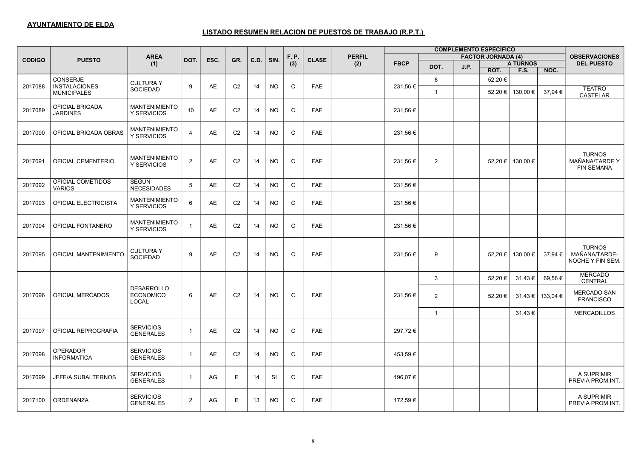| <b>COMPLEMENTO ESPECIFICO</b> |                                       |                                                |                |           |                |      |           |              |              |               |             |                |      |                           |                 |          |                                                      |
|-------------------------------|---------------------------------------|------------------------------------------------|----------------|-----------|----------------|------|-----------|--------------|--------------|---------------|-------------|----------------|------|---------------------------|-----------------|----------|------------------------------------------------------|
| <b>CODIGO</b>                 | <b>PUESTO</b>                         | <b>AREA</b>                                    | DOT.           | ESC.      | GR.            | C.D. | SIN.      | F. P.        | <b>CLASE</b> | <b>PERFIL</b> |             |                |      | <b>FACTOR JORNADA (4)</b> |                 |          | <b>OBSERVACIONES</b>                                 |
|                               |                                       | (1)                                            |                |           |                |      |           | (3)          |              | (2)           | <b>FBCP</b> | DOT.           | J.P. |                           | <b>A TURNOS</b> |          | <b>DEL PUESTO</b>                                    |
|                               |                                       |                                                |                |           |                |      |           |              |              |               |             |                |      | ROT.                      | F.S.            | NOC.     |                                                      |
| 2017088                       | CONSERJE<br><b>INSTALACIONES</b>      | <b>CULTURAY</b>                                | 9              | <b>AE</b> | C <sub>2</sub> | 14   | <b>NO</b> | C            | <b>FAE</b>   |               | 231,56€     | 8              |      | 52,20€                    |                 |          |                                                      |
|                               | <b>MUNICIPALES</b>                    | <b>SOCIEDAD</b>                                |                |           |                |      |           |              |              |               |             | $\overline{1}$ |      | 52,20 €                   | 130,00 €        | 37,94€   | <b>TEATRO</b><br><b>CASTELAR</b>                     |
| 2017089                       | OFICIAL BRIGADA<br><b>JARDINES</b>    | <b>MANTENIMIENTO</b><br>Y SERVICIOS            | 10             | AE        | C <sub>2</sub> | 14   | <b>NO</b> | $\mathsf C$  | <b>FAE</b>   |               | 231,56 €    |                |      |                           |                 |          |                                                      |
| 2017090                       | OFICIAL BRIGADA OBRAS                 | <b>MANTENIMIENTO</b><br>Y SERVICIOS            | $\overline{4}$ | AE        | C <sub>2</sub> | 14   | <b>NO</b> | C            | <b>FAE</b>   |               | 231,56€     |                |      |                           |                 |          |                                                      |
| 2017091                       | OFICIAL CEMENTERIO                    | <b>MANTENIMIENTO</b><br>Y SERVICIOS            | $\overline{2}$ | AE        | C <sub>2</sub> | 14   | <b>NO</b> | $\mathsf C$  | <b>FAE</b>   |               | 231,56€     | 2              |      | 52,20 €                   | 130,00 €        |          | <b>TURNOS</b><br>MAÑANA/TARDE Y<br><b>FIN SEMANA</b> |
| 2017092                       | OFICIAL COMETIDOS<br><b>VARIOS</b>    | <b>SEGUN</b><br><b>NECESIDADES</b>             | 5              | AE        | C <sub>2</sub> | 14   | <b>NO</b> | C            | <b>FAE</b>   |               | 231,56€     |                |      |                           |                 |          |                                                      |
| 2017093                       | OFICIAL ELECTRICISTA                  | <b>MANTENIMIENTO</b><br>Y SERVICIOS            | 6              | AE        | C <sub>2</sub> | 14   | NO.       | $\mathsf C$  | <b>FAE</b>   |               | 231,56€     |                |      |                           |                 |          |                                                      |
| 2017094                       | OFICIAL FONTANERO                     | <b>MANTENIMIENTO</b><br>Y SERVICIOS            | $\overline{1}$ | AE        | C <sub>2</sub> | 14   | NO.       | $\mathsf C$  | <b>FAE</b>   |               | 231,56 €    |                |      |                           |                 |          |                                                      |
| 2017095                       | OFICIAL MANTENIMIENTO                 | <b>CULTURAY</b><br><b>SOCIEDAD</b>             | 9              | AE        | C <sub>2</sub> | 14   | <b>NO</b> | $\mathsf{C}$ | <b>FAE</b>   |               | 231,56€     | 9              |      | 52,20 €                   | 130,00 €        | 37,94 €  | <b>TURNOS</b><br>MAÑANA/TARDE-<br>NOCHE Y FIN SEM.   |
|                               |                                       |                                                |                |           |                |      |           |              |              |               |             | 3              |      | 52,20€                    | 31,43€          | 69,56€   | <b>MERCADO</b><br><b>CENTRAL</b>                     |
| 2017096                       | OFICIAL MERCADOS                      | <b>DESARROLLO</b><br><b>ECONOMICO</b><br>LOCAL | 6              | AE        | C <sub>2</sub> | 14   | <b>NO</b> | $\mathsf{C}$ | <b>FAE</b>   |               | 231,56 €    | $\overline{2}$ |      | 52,20 €                   | 31,43 €         | 133,04 € | <b>MERCADO SAN</b><br><b>FRANCISCO</b>               |
|                               |                                       |                                                |                |           |                |      |           |              |              |               |             | $\overline{1}$ |      |                           | 31,43 €         |          | <b>MERCADILLOS</b>                                   |
| 2017097                       | OFICIAL REPROGRAFIA                   | <b>SERVICIOS</b><br><b>GENERALES</b>           | $\overline{1}$ | <b>AE</b> | C <sub>2</sub> | 14   | <b>NO</b> | $\mathsf C$  | <b>FAE</b>   |               | 297,72€     |                |      |                           |                 |          |                                                      |
| 2017098                       | <b>OPERADOR</b><br><b>INFORMATICA</b> | <b>SERVICIOS</b><br><b>GENERALES</b>           | $\overline{1}$ | AE        | C <sub>2</sub> | 14   | NO.       | C            | <b>FAE</b>   |               | 453,59€     |                |      |                           |                 |          |                                                      |
| 2017099                       | JEFE/A SUBALTERNOS                    | <b>SERVICIOS</b><br><b>GENERALES</b>           | $\overline{1}$ | AG        | E              | 14   | SI        | C            | <b>FAE</b>   |               | 196,07€     |                |      |                           |                 |          | A SUPRIMIR<br>PREVIA PROM.INT.                       |
| 2017100                       | <b>ORDENANZA</b>                      | <b>SERVICIOS</b><br><b>GENERALES</b>           | 2              | AG        | Ε              | 13   | <b>NO</b> | C            | <b>FAE</b>   |               | 172,59€     |                |      |                           |                 |          | A SUPRIMIR<br>PREVIA PROM.INT.                       |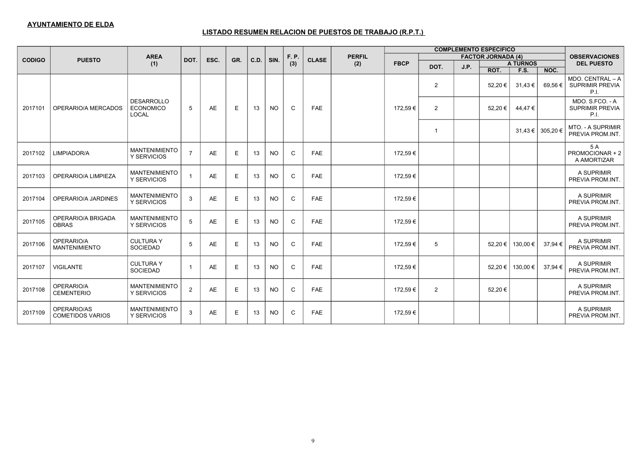#### **AYUNTAMIENTO DE ELDA**

|               |                                        |                                                |                         |           |     |      |           |       |              |               |             |                |      | <b>COMPLEMENTO ESPECIFICO</b> |                 |                  |                                                    |
|---------------|----------------------------------------|------------------------------------------------|-------------------------|-----------|-----|------|-----------|-------|--------------|---------------|-------------|----------------|------|-------------------------------|-----------------|------------------|----------------------------------------------------|
| <b>CODIGO</b> | <b>PUESTO</b>                          | <b>AREA</b>                                    | DOT.                    | ESC.      | GR. | C.D. | SIN.      | F. P. | <b>CLASE</b> | <b>PERFIL</b> |             |                |      | <b>FACTOR JORNADA (4)</b>     |                 |                  | <b>OBSERVACIONES</b>                               |
|               |                                        | (1)                                            |                         |           |     |      |           | (3)   |              | (2)           | <b>FBCP</b> | DOT.           | J.P. |                               | <b>A TURNOS</b> |                  | <b>DEL PUESTO</b>                                  |
|               |                                        |                                                |                         |           |     |      |           |       |              |               |             |                |      | ROT.                          | F.S.            | NOC.             |                                                    |
|               |                                        |                                                |                         |           |     |      |           |       |              |               |             | $\overline{2}$ |      | 52,20 €                       | 31,43€          | $69,56 \in  $    | MDO. CENTRAL - A<br><b>SUPRIMIR PREVIA</b><br>P.I. |
| 2017101       | OPERARIO/A MERCADOS                    | <b>DESARROLLO</b><br><b>ECONOMICO</b><br>LOCAL | 5                       | AE        | E   | 13   | <b>NO</b> | C     | <b>FAE</b>   |               | 172,59€     | $\overline{2}$ |      | 52,20 €                       | 44,47€          |                  | MDO. S.FCO. - A<br><b>SUPRIMIR PREVIA</b><br>P.I.  |
|               |                                        |                                                |                         |           |     |      |           |       |              |               |             | $\overline{1}$ |      |                               |                 | 31,43 € 305,20 € | <b>MTO. - A SUPRIMIR</b><br>PREVIA PROM.INT.       |
| 2017102       | LIMPIADOR/A                            | <b>MANTENIMIENTO</b><br>Y SERVICIOS            | $\overline{7}$          | AE        | E   | 13   | <b>NO</b> | C     | <b>FAE</b>   |               | 172,59€     |                |      |                               |                 |                  | 5 A<br>PROMOCIONAR + 2<br>A AMORTIZAR              |
| 2017103       | OPERARIO/A LIMPIEZA                    | <b>MANTENIMIENTO</b><br>Y SERVICIOS            | $\overline{1}$          | <b>AE</b> | E   | 13   | <b>NO</b> | C     | <b>FAE</b>   |               | 172,59€     |                |      |                               |                 |                  | A SUPRIMIR<br>PREVIA PROM.INT                      |
| 2017104       | OPERARIO/A JARDINES                    | <b>MANTENIMIENTO</b><br>Y SERVICIOS            | 3                       | AE        | Ε   | 13   | <b>NO</b> | C     | <b>FAE</b>   |               | 172,59 €    |                |      |                               |                 |                  | A SUPRIMIR<br>PREVIA PROM.INT                      |
| 2017105       | OPERARIO/A BRIGADA<br><b>OBRAS</b>     | <b>MANTENIMIENTO</b><br>Y SERVICIOS            | 5                       | <b>AE</b> | Е   | 13   | <b>NO</b> | C     | <b>FAE</b>   |               | 172,59€     |                |      |                               |                 |                  | A SUPRIMIR<br>PREVIA PROM.INT                      |
| 2017106       | OPERARIO/A<br><b>MANTENIMIENTO</b>     | <b>CULTURA Y</b><br><b>SOCIEDAD</b>            | 5                       | <b>AE</b> | Ε   | 13   | <b>NO</b> | C     | <b>FAE</b>   |               | 172,59 €    | 5              |      | 52,20 €                       | 130,00 €        | 37,94 €          | A SUPRIMIR<br>PREVIA PROM.INT                      |
| 2017107       | <b>VIGILANTE</b>                       | <b>CULTURAY</b><br><b>SOCIEDAD</b>             | $\overline{\mathbf{1}}$ | <b>AE</b> | E   | 13   | <b>NO</b> | C     | <b>FAE</b>   |               | 172,59 €    |                |      | 52,20 €                       | 130,00 €        | 37,94 €          | A SUPRIMIR<br>PREVIA PROM.INT                      |
| 2017108       | OPERARIO/A<br><b>CEMENTERIO</b>        | <b>MANTENIMIENTO</b><br>Y SERVICIOS            | $\overline{2}$          | AE        | Е   | 13   | <b>NO</b> | C     | <b>FAE</b>   |               | 172,59 €    | $\overline{2}$ |      | 52,20€                        |                 |                  | A SUPRIMIR<br>PREVIA PROM.INT.                     |
| 2017109       | OPERARIO/AS<br><b>COMETIDOS VARIOS</b> | <b>MANTENIMIENTO</b><br>Y SERVICIOS            | 3                       | <b>AE</b> | Ε   | 13   | NO.       | C     | <b>FAE</b>   |               | 172,59€     |                |      |                               |                 |                  | A SUPRIMIR<br>PREVIA PROM.INT                      |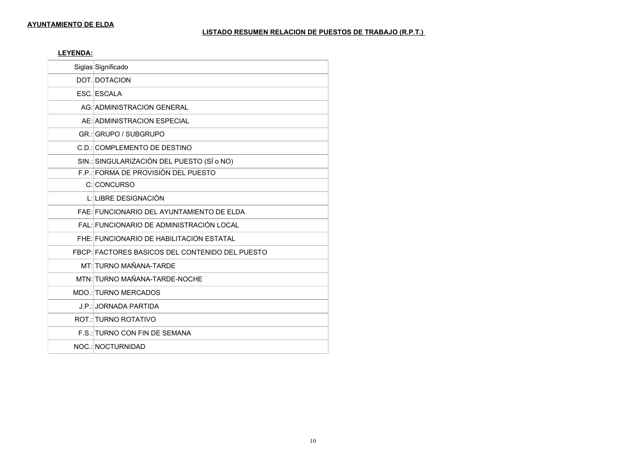**LEYENDA:**

| Siglas Significado                              |
|-------------------------------------------------|
| DOT. DOTACION                                   |
| ESC. ESCALA                                     |
| AG: ADMINISTRACION GENERAL                      |
| AE: ADMINISTRACION ESPECIAL                     |
| GR.: GRUPO / SUBGRUPO                           |
| C.D.: COMPLEMENTO DE DESTINO                    |
| SIN.: SINGULARIZACIÓN DEL PUESTO (SÍ o NO)      |
| F.P.: FORMA DE PROVISIÓN DEL PUESTO             |
| C: CONCURSO                                     |
| L: LIBRE DESIGNACIÓN                            |
| FAE: FUNCIONARIO DEL AYUNTAMIENTO DE ELDA       |
| FAL: FUNCIONARIO DE ADMINISTRACIÓN LOCAL        |
| FHE: FUNCIONARIO DE HABILITACION ESTATAL        |
| FBCP: FACTORES BASICOS DEL CONTENIDO DEL PUESTO |
| MT: TURNO MAÑANA-TARDE                          |
| MTN: TURNO MAÑANA-TARDE-NOCHE                   |
| MDO.: TURNO MERCADOS                            |
| J.P.: JORNADA PARTIDA                           |
| <b>ROT.: TURNO ROTATIVO</b>                     |
| F.S.: TURNO CON FIN DE SEMANA                   |
| NOC.: NOCTURNIDAD                               |